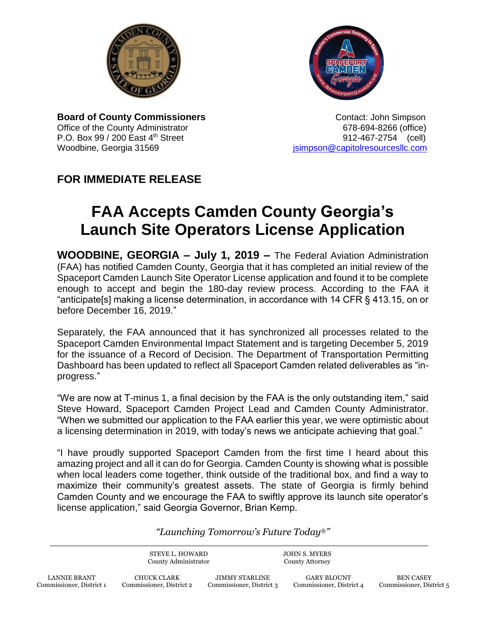



**Board of County Commissioners Contact: John Simpson** Office of the County Administrator 678-694-8266 (office) P.O. Box 99 / 200 East 4th Street 912-467-2754 (cell) Woodbine, Georgia 31569 **journalist entity of the Capitol**resourcesllc.com

## **FOR IMMEDIATE RELEASE**

## **FAA Accepts Camden County Georgia's Launch Site Operators License Application**

**WOODBINE, GEORGIA – July 1, 2019 –** The Federal Aviation Administration (FAA) has notified Camden County, Georgia that it has completed an initial review of the Spaceport Camden Launch Site Operator License application and found it to be complete enough to accept and begin the 180-day review process. According to the FAA it "anticipate[s] making a license determination, in accordance with 14 CFR § 413.15, on or before December 16, 2019."

Separately, the FAA announced that it has synchronized all processes related to the Spaceport Camden Environmental Impact Statement and is targeting December 5, 2019 for the issuance of a Record of Decision. The Department of Transportation Permitting Dashboard has been updated to reflect all Spaceport Camden related deliverables as "inprogress."

"We are now at T-minus 1, a final decision by the FAA is the only outstanding item," said Steve Howard, Spaceport Camden Project Lead and Camden County Administrator. "When we submitted our application to the FAA earlier this year, we were optimistic about a licensing determination in 2019, with today's news we anticipate achieving that goal."

"I have proudly supported Spaceport Camden from the first time I heard about this amazing project and all it can do for Georgia. Camden County is showing what is possible when local leaders come together, think outside of the traditional box, and find a way to maximize their community's greatest assets. The state of Georgia is firmly behind Camden County and we encourage the FAA to swiftly approve its launch site operator's license application," said Georgia Governor, Brian Kemp.

## *"Launching Tomorrow's Future Today*®*"*

STEVE L. HOWARD County Administrator

JOHN S. MYERS County Attorney

JIMMY STARLINE Commissioner, District 3

GARY BLOUNT Commissioner, District 4

BEN CASEY Commissioner, District 5